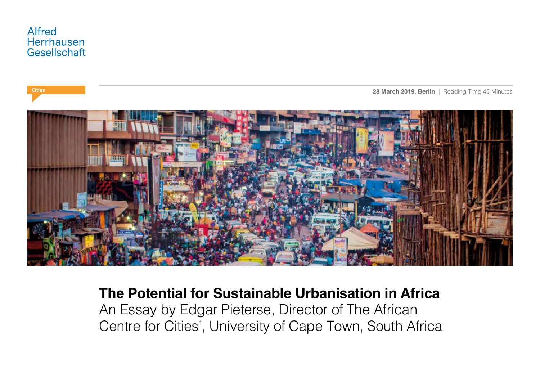



**The Potential for Sustainable Urbanisation in Africa** An Essay by Edgar Pieterse, Director of The African Centre for Cities<sup>1</sup>, University of Cape Town, South Africa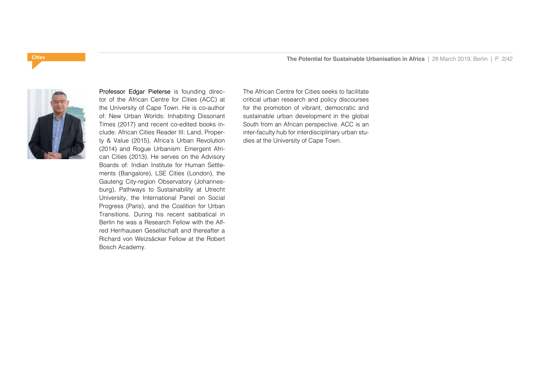

Professor Edgar Pieterse is founding director of the African Centre for Cities (ACC) at the University of Cape Town. He is co-author of: New Urban Worlds: Inhabiting Dissonant Times (2017) and recent co-edited books include: African Cities Reader III: Land, Property & Value (2015), Africa's Urban Revolution (2014) and Rogue Urbanism: Emergent African Cities (2013). He serves on the Advisory Boards of: Indian Institute for Human Settlements (Bangalore), LSE Cities (London), the Gauteng City-region Observatory (Johannesburg), Pathways to Sustainability at Utrecht University, the International Panel on Social Progress (Paris), and the Coalition for Urban Transitions. During his recent sabbatical in Berlin he was a Research Fellow with the Alfred Herrhausen Gesellschaft and thereafter a Richard von Weizsäcker Fellow at the Robert Bosch Academy.

The African Centre for Cities seeks to facilitate critical urban research and policy discourses for the promotion of vibrant, democratic and sustainable urban development in the global South from an African perspective. ACC is an inter-faculty hub for interdisciplinary urban studies at the University of Cape Town.

# **Cities**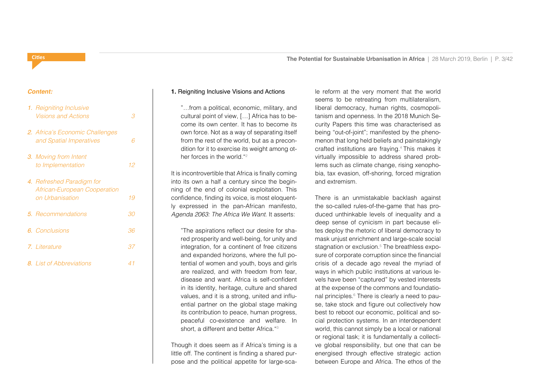# *Content:*

**Cities**

| 1. Reigniting Inclusive<br><b>Visions and Actions</b>                        | З   |
|------------------------------------------------------------------------------|-----|
| 2. Africa's Economic Challenges<br>and Spatial Imperatives                   | ട   |
| <b>3.</b> Moving from Intent<br>to Implementation                            | 12  |
| 4. Refreshed Paradigm for<br>African-European Cooperation<br>on Urbanisation | 19  |
| <b>5.</b> Recommendations                                                    | 30. |
| 6. Conclusions                                                               | 36  |
| 7. Literature                                                                | 37  |
| 8. List of Abbreviations                                                     | 41  |

# **1.** Reigniting Inclusive Visions and Actions

ˮ…from a political, economic, military, and cultural point of view, […] Africa has to become its own center. It has to become its own force. Not as a way of separating itself from the rest of the world, but as a precondition for it to exercise its weight among other forces in the world."2

It is incontrovertible that Africa is finally coming into its own a half a century since the beginning of the end of colonial exploitation. This confidence, finding its voice, is most eloquently expressed in the pan-African manifesto, *Agenda 2063: The Africa We Want.* It asserts:

ˮThe aspirations reflect our desire for shared prosperity and well-being, for unity and integration, for a continent of free citizens and expanded horizons, where the full potential of women and youth, boys and girls are realized, and with freedom from fear, disease and want. Africa is self-confident in its identity, heritage, culture and shared values, and it is a strong, united and influential partner on the global stage making its contribution to peace, human progress, peaceful co-existence and welfare. In short, a different and better Africa."3

Though it does seem as if Africa's timing is a little off. The continent is finding a shared purpose and the political appetite for large-scale reform at the very moment that the world seems to be retreating from multilateralism, liberal democracy, human rights, cosmopolitanism and openness. In the 2018 Munich Security Papers this time was characterised as being "out-of-joint"; manifested by the phenomenon that long held beliefs and painstakingly crafted institutions are fraying.4 This makes it virtually impossible to address shared problems such as climate change, rising xenophobia, tax evasion, off-shoring, forced migration and extremism.

There is an unmistakable backlash against the so-called rules-of-the-game that has produced unthinkable levels of inequality and a deep sense of cynicism in part because elites deploy the rhetoric of liberal democracy to mask unjust enrichment and large-scale social stagnation or exclusion.5 The breathless exposure of corporate corruption since the financial crisis of a decade ago reveal the myriad of ways in which public institutions at various levels have been "captured" by vested interests at the expense of the commons and foundational principles.<sup>6</sup> There is clearly a need to pause, take stock and figure out collectively how best to reboot our economic, political and social protection systems. In an interdependent world, this cannot simply be a local or national or regional task; it is fundamentally a collective global responsibility, but one that can be energised through effective strategic action between Europe and Africa. The ethos of the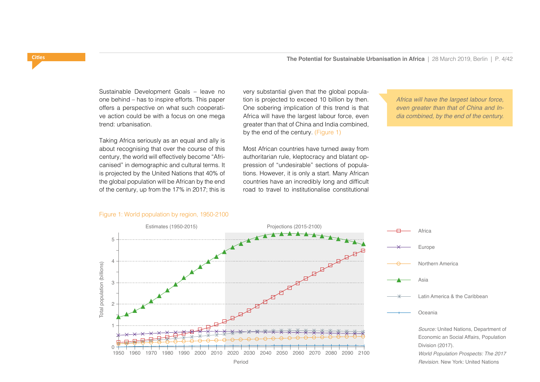Sustainable Development Goals – leave no one behind – has to inspire efforts. This paper offers a perspective on what such cooperative action could be with a focus on one mega trend: urbanisation.

Taking Africa seriously as an equal and ally is about recognising that over the course of this century, the world will effectively become "Africanised" in demographic and cultural terms. It is projected by the United Nations that 40% of the global population will be African by the end of the century, up from the 17% in 2017; this is very substantial given that the global population is projected to exceed 10 billion by then. One sobering implication of this trend is that Africa will have the largest labour force, even greater than that of China and India combined, by the end of the century. (Figure 1)

Most African countries have turned away from authoritarian rule, kleptocracy and blatant oppression of "undesirable" sections of populations. However, it is only a start. Many African countries have an incredibly long and difficult road to travel to institutionalise constitutional

*Africa will have the largest labour force, even greater than that of China and India combined, by the end of the century.*



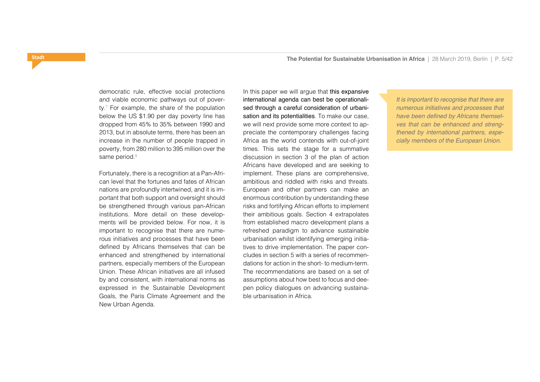democratic rule, effective social protections and viable economic pathways out of poverty.7 For example, the share of the population below the US \$1.90 per day poverty line has dropped from 45% to 35% between 1990 and 2013, but in absolute terms, there has been an increase in the number of people trapped in poverty, from 280 million to 395 million over the same period.<sup>8</sup>

Fortunately, there is a recognition at a Pan-African level that the fortunes and fates of African nations are profoundly intertwined, and it is important that both support and oversight should be strengthened through various pan-African institutions. More detail on these developments will be provided below. For now, it is important to recognise that there are numerous initiatives and processes that have been defined by Africans themselves that can be enhanced and strengthened by international partners, especially members of the European Union. These African initiatives are all infused by and consistent, with international norms as expressed in the Sustainable Development Goals, the Paris Climate Agreement and the New Urban Agenda.

In this paper we will argue that this expansive international agenda can best be operationalised through a careful consideration of urbanisation and its potentialities. To make our case, we will next provide some more context to appreciate the contemporary challenges facing Africa as the world contends with out-of-joint times. This sets the stage for a summative discussion in section 3 of the plan of action Africans have developed and are seeking to implement. These plans are comprehensive, ambitious and riddled with risks and threats. European and other partners can make an enormous contribution by understanding these risks and fortifying African efforts to implement their ambitious goals. Section 4 extrapolates from established macro development plans a refreshed paradigm to advance sustainable urbanisation whilst identifying emerging initiatives to drive implementation. The paper concludes in section 5 with a series of recommendations for action in the short- to medium-term. The recommendations are based on a set of assumptions about how best to focus and deepen policy dialogues on advancing sustainable urbanisation in Africa.

*It is important to recognise that there are numerous initiatives and processes that*  have been defined by Africans themsel*ves that can be enhanced and strengthened by international partners, especially members of the European Union.*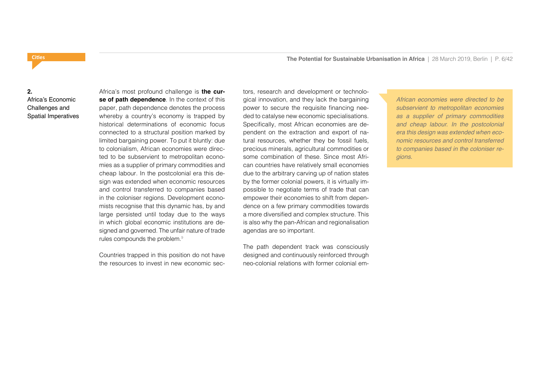# **2.**  Africa's Economic Challenges and Spatial Imperatives

Africa's most profound challenge is **the curse of path dependence**. In the context of this paper, path dependence denotes the process whereby a country's economy is trapped by historical determinations of economic focus connected to a structural position marked by limited bargaining power. To put it bluntly: due to colonialism, African economies were directed to be subservient to metropolitan economies as a supplier of primary commodities and cheap labour. In the postcolonial era this design was extended when economic resources and control transferred to companies based in the coloniser regions. Development economists recognise that this dynamic has, by and large persisted until today due to the ways in which global economic institutions are designed and governed. The unfair nature of trade rules compounds the problem.9

Countries trapped in this position do not have the resources to invest in new economic sectors, research and development or technological innovation, and they lack the bargaining power to secure the requisite financing needed to catalyse new economic specialisations. Specifically, most African economies are dependent on the extraction and export of natural resources, whether they be fossil fuels, precious minerals, agricultural commodities or some combination of these. Since most African countries have relatively small economies due to the arbitrary carving up of nation states by the former colonial powers, it is virtually impossible to negotiate terms of trade that can empower their economies to shift from dependence on a few primary commodities towards a more diversified and complex structure. This is also why the pan-African and regionalisation agendas are so important.

The path dependent track was consciously designed and continuously reinforced through neo-colonial relations with former colonial em*African economies were directed to be subservient to metropolitan economies as a supplier of primary commodities and cheap labour. In the postcolonial era this design was extended when economic resources and control transferred to companies based in the coloniser regions.*

# <span id="page-5-0"></span>**Cities**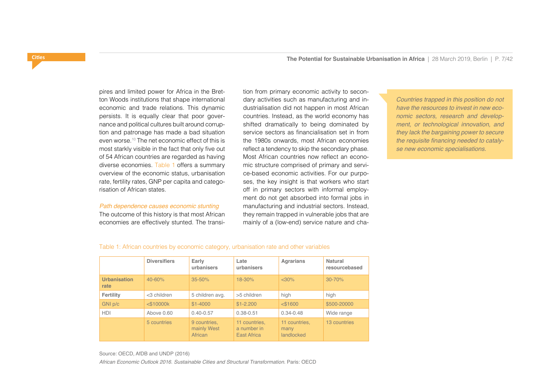pires and limited power for Africa in the Bretton Woods institutions that shape international economic and trade relations. This dynamic persists. It is equally clear that poor governance and political cultures built around corruption and patronage has made a bad situation even worse.10 The net economic effect of this is most starkly visible in the fact that only five out of 54 African countries are regarded as having diverse economies. Table 1 offers a summary overview of the economic status, urbanisation rate, fertility rates, GNP per capita and categorisation of African states.

#### *Path dependence causes economic stunting*

The outcome of this history is that most African economies are effectively stunted. The transition from primary economic activity to secondary activities such as manufacturing and industrialisation did not happen in most African countries. Instead, as the world economy has shifted dramatically to being dominated by service sectors as financialisation set in from the 1980s onwards, most African economies reflect a tendency to skip the secondary phase. Most African countries now reflect an economic structure comprised of primary and service-based economic activities. For our purposes, the key insight is that workers who start off in primary sectors with informal employment do not get absorbed into formal jobs in manufacturing and industrial sectors. Instead, they remain trapped in vulnerable jobs that are mainly of a (low-end) service nature and cha-

*Countries trapped in this position do not have the resources to invest in new economic sectors, research and development, or technological innovation, and they lack the bargaining power to secure*  the requisite financing needed to cataly*se new economic specialisations.*

|                             | <b>Diversifiers</b> | Early<br>urbanisers | Late<br>urbanisers | <b>Agrarians</b> | Natural<br>resourcebased |
|-----------------------------|---------------------|---------------------|--------------------|------------------|--------------------------|
| <b>Urbanisation</b><br>rate | $40 - 60%$          | $35 - 50%$          | $18 - 30%$         | $<$ 30%          | $30 - 70%$               |
| Fertility                   | $<$ 3 children      | 5 children avg.     | >5 children        | high             | high                     |
| GNI p/c                     | $<$ \$10000 $k$     | $$1-4000$           | $$1-2.200$         | $<$ \$1600       | \$500-20000              |
| <b>HDI</b>                  | Above 0.60          | $0.40 - 0.57$       | $0.38 - 0.51$      | $0.34 - 0.48$    | Wide range               |

11 countries, a number in East Africa

11 countries, many landlocked

13 countries

#### Table 1: African countries by economic category, urbanisation rate and other variables

Source: OECD, AfDB and UNDP (2016)

*African Economic Outlook 2016. Sustainable Cities and Structural Transformation.* Paris: OECD

mainly West **African** 

5 countries 9 countries.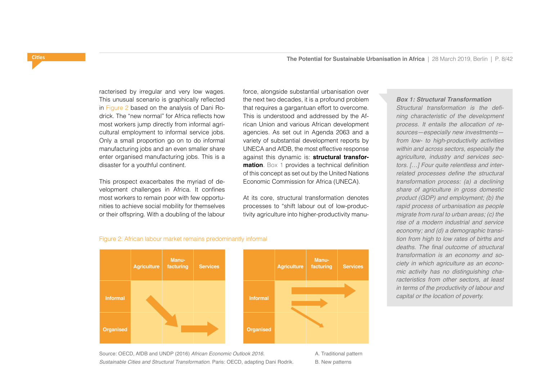racterised by irregular and very low wages. This unusual scenario is graphically reflected in Figure 2 based on the analysis of Dani Rodrick. The "new normal" for Africa reflects how most workers jump directly from informal agricultural employment to informal service jobs. Only a small proportion go on to do informal manufacturing jobs and an even smaller share enter organised manufacturing jobs. This is a disaster for a youthful continent.

This prospect exacerbates the myriad of development challenges in Africa. It confines most workers to remain poor with few opportunities to achieve social mobility for themselves or their offspring. With a doubling of the labour

force, alongside substantial urbanisation over the next two decades, it is a profound problem that requires a gargantuan effort to overcome. This is understood and addressed by the African Union and various African development agencies. As set out in Agenda 2063 and a variety of substantial development reports by UNECA and AfDB, the most effective response against this dynamic is: **structural transformation**. Box 1 provides a technical definition of this concept as set out by the United Nations Economic Commission for Africa (UNECA).

At its core, structural transformation denotes processes to "shift labour out of low-productivity agriculture into higher-productivity manu-

*Box 1: Structural Transformation* Structural transformation is the defi*ning characteristic of the development process. It entails the allocation of resources—especially new investments from low- to high-productivity activities within and across sectors, especially the agriculture, industry and services sectors. […] Four quite relentless and inter*related processes define the structural *transformation process: (a) a declining share of agriculture in gross domestic product (GDP) and employment; (b) the rapid process of urbanisation as people migrate from rural to urban areas; (c) the rise of a modern industrial and service economy; and (d) a demographic transition from high to low rates of births and*  deaths. The final outcome of structural *transformation is an economy and society in which agriculture as an economic activity has no distinguishing characteristics from other sectors, at least in terms of the productivity of labour and capital or the location of poverty.*

#### Figure 2: African labour market remains predominantly informal



Source: OECD, AfDB and UNDP (2016) *African Economic Outlook 2016. Sustainable Cities and Structural Transformation.* Paris: OECD, adapting Dani Rodrik. A. Traditional pattern B. New patterns

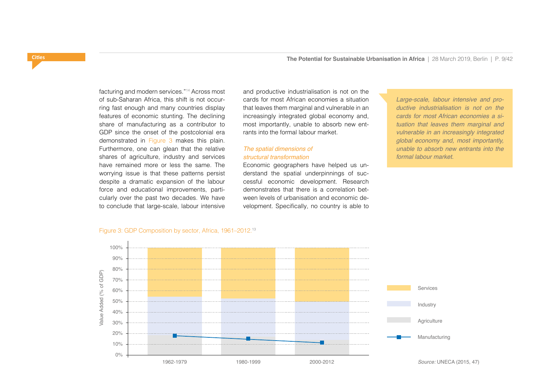**Cities**

facturing and modern services."14 Across most of sub-Saharan Africa, this shift is not occurring fast enough and many countries display features of economic stunting. The declining share of manufacturing as a contributor to GDP since the onset of the postcolonial era demonstrated in Figure 3 makes this plain. Furthermore, one can glean that the relative shares of agriculture, industry and services have remained more or less the same. The worrying issue is that these patterns persist despite a dramatic expansion of the labour force and educational improvements, particularly over the past two decades. We have to conclude that large-scale, labour intensive

and productive industrialisation is not on the cards for most African economies a situation that leaves them marginal and vulnerable in an increasingly integrated global economy and, most importantly, unable to absorb new entrants into the formal labour market.

# *The spatial dimensions of structural transformation*

Economic geographers have helped us understand the spatial underpinnings of successful economic development. Research demonstrates that there is a correlation between levels of urbanisation and economic development. Specifically, no country is able to

*Large-scale, labour intensive and productive industrialisation is not on the cards for most African economies a situation that leaves them marginal and vulnerable in an increasingly integrated global economy and, most importantly, unable to absorb new entrants into the formal labour market.*



### Figure 3: GDP Composition by sector, Africa, 1961–2012.13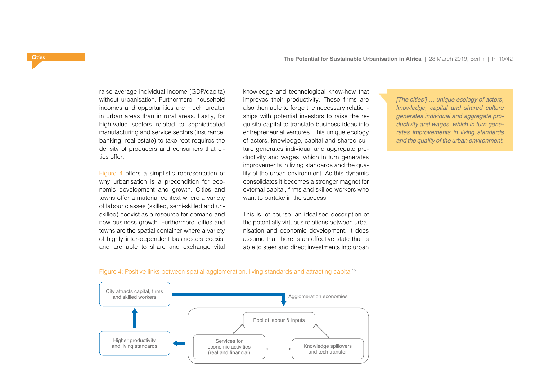raise average individual income (GDP/capita) without urbanisation. Furthermore, household incomes and opportunities are much greater in urban areas than in rural areas. Lastly, for high-value sectors related to sophisticated manufacturing and service sectors (insurance, banking, real estate) to take root requires the density of producers and consumers that cities offer.

Figure 4 offers a simplistic representation of why urbanisation is a precondition for economic development and growth. Cities and towns offer a material context where a variety of labour classes (skilled, semi-skilled and unskilled) coexist as a resource for demand and new business growth. Furthermore, cities and towns are the spatial container where a variety of highly inter-dependent businesses coexist and are able to share and exchange vital

knowledge and technological know-how that improves their productivity. These firms are also then able to forge the necessary relationships with potential investors to raise the requisite capital to translate business ideas into entrepreneurial ventures. This unique ecology of actors, knowledge, capital and shared culture generates individual and aggregate productivity and wages, which in turn generates improvements in living standards and the quality of the urban environment. As this dynamic consolidates it becomes a stronger magnet for external capital, firms and skilled workers who want to partake in the success.

This is, of course, an idealised description of the potentially virtuous relations between urbanisation and economic development. It does assume that there is an effective state that is able to steer and direct investments into urban

[The cities'] ... unique ecology of actors, *knowledge, capital and shared culture generates individual and aggregate productivity and wages, which in turn generates improvements in living standards and the quality of the urban environment.*



Figure 4: Positive links between spatial agglomeration, living standards and attracting capital<sup>15</sup>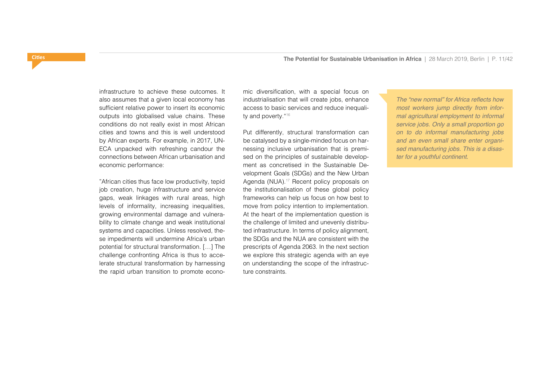infrastructure to achieve these outcomes. It also assumes that a given local economy has sufficient relative power to insert its economic outputs into globalised value chains. These conditions do not really exist in most African cities and towns and this is well understood by African experts. For example, in 2017, UN-ECA unpacked with refreshing candour the connections between African urbanisation and economic performance:

ˮAfrican cities thus face low productivity, tepid job creation, huge infrastructure and service gaps, weak linkages with rural areas, high levels of informality, increasing inequalities, growing environmental damage and vulnerability to climate change and weak institutional systems and capacities. Unless resolved, these impediments will undermine Africa's urban potential for structural transformation. […] The challenge confronting Africa is thus to accelerate structural transformation by harnessing the rapid urban transition to promote economic diversification, with a special focus on industrialisation that will create jobs, enhance access to basic services and reduce inequality and poverty. "<sup>16</sup>

Put differently, structural transformation can be catalysed by a single-minded focus on harnessing inclusive urbanisation that is premised on the principles of sustainable development as concretised in the Sustainable Development Goals (SDGs) and the New Urban Agenda (NUA).<sup>17</sup> Recent policy proposals on the institutionalisation of these global policy frameworks can help us focus on how best to move from policy intention to implementation. At the heart of the implementation question is the challenge of limited and unevenly distributed infrastructure. In terms of policy alignment, the SDGs and the NUA are consistent with the prescripts of Agenda 2063. In the next section we explore this strategic agenda with an eye on understanding the scope of the infrastructure constraints.

The "new normal" for Africa reflects how *most workers jump directly from informal agricultural employment to informal service jobs. Only a small proportion go on to do informal manufacturing jobs and an even small share enter organised manufacturing jobs. This is a disaster for a youthful continent.*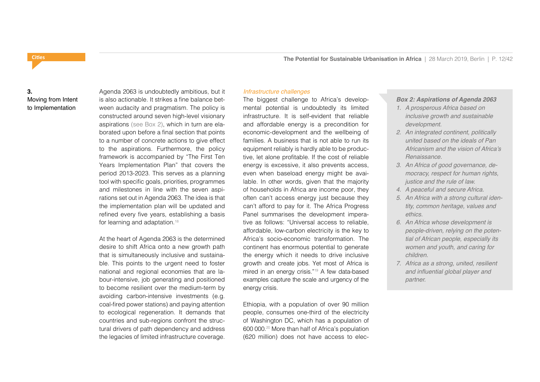# **3.**  Moving from Intent to Implementation

Agenda 2063 is undoubtedly ambitious, but it is also actionable. It strikes a fine balance between audacity and pragmatism. The policy is constructed around seven high-level visionary aspirations (see Box 2), which in turn are elaborated upon before a final section that points to a number of concrete actions to give effect to the aspirations. Furthermore, the policy framework is accompanied by "The First Ten Years Implementation Plan" that covers the period 2013-2023. This serves as a planning tool with specific goals, priorities, programmes and milestones in line with the seven aspirations set out in Agenda 2063. The idea is that the implementation plan will be updated and refined every five years, establishing a basis for learning and adaptation.<sup>18</sup>

At the heart of Agenda 2063 is the determined desire to shift Africa onto a new growth path that is simultaneously inclusive and sustainable. This points to the urgent need to foster national and regional economies that are labour-intensive, job generating and positioned to become resilient over the medium-term by avoiding carbon-intensive investments (e.g. coal-fired power stations) and paying attention to ecological regeneration. It demands that countries and sub-regions confront the structural drivers of path dependency and address the legacies of limited infrastructure coverage.

### *Infrastructure challenges*

The biggest challenge to Africa's developmental potential is undoubtedly its limited infrastructure. It is self-evident that reliable and affordable energy is a precondition for economic-development and the wellbeing of families. A business that is not able to run its equipment reliably is hardly able to be productive, let alone profitable. If the cost of reliable energy is excessive, it also prevents access, even when baseload energy might be available. In other words, given that the majority of households in Africa are income poor, they often can't access energy just because they can't afford to pay for it. The Africa Progress Panel summarises the development imperative as follows: "Universal access to reliable, affordable, low-carbon electricity is the key to Africa's socio-economic transformation. The continent has enormous potential to generate the energy which it needs to drive inclusive growth and create jobs. Yet most of Africa is mired in an energy crisis."19 A few data-based examples capture the scale and urgency of the energy crisis.

Ethiopia, with a population of over 90 million people, consumes one-third of the electricity of Washington DC, which has a population of 600 000.20 More than half of Africa's population (620 million) does not have access to elec-

# *Box 2: Aspirations of Agenda 2063*

- *1. A prosperous Africa based on inclusive growth and sustainable development.*
- *2. An integrated continent, politically united based on the ideals of Pan*  Africanism and the vision of Africa's *Renaissance.*
- *3. An Africa of good governance, democracy, respect for human rights, justice and the rule of law.*
- *4. A peaceful and secure Africa.*
- *5. An Africa with a strong cultural identity, common heritage, values and ethics.*
- *6. An Africa whose development is people-driven, relying on the potential of African people, especially its women and youth, and caring for children.*
- *7. Africa as a strong, united, resilient*  and influential global player and *partner.*

# <span id="page-11-0"></span>**Cities**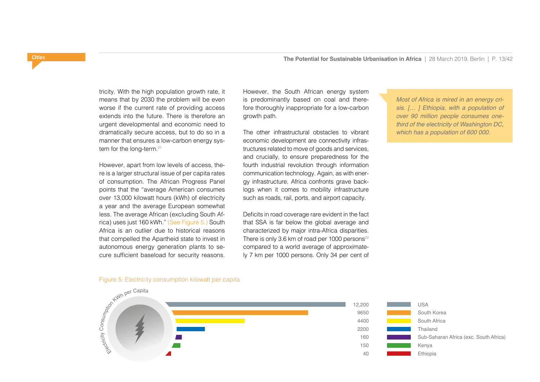tricity. With the high population growth rate, it means that by 2030 the problem will be even worse if the current rate of providing access extends into the future. There is therefore an urgent developmental and economic need to dramatically secure access, but to do so in a manner that ensures a low-carbon energy system for the long-term.<sup>21</sup>

However, apart from low levels of access, there is a larger structural issue of per capita rates of consumption. The African Progress Panel points that the "average American consumes over 13,000 kilowatt hours (kWh) of electricity a year and the average European somewhat less. The average African (excluding South Africa) uses just 160 kWh." (See Figure 5.) South Africa is an outlier due to historical reasons that compelled the Apartheid state to invest in autonomous energy generation plants to secure sufficient baseload for security reasons.

However, the South African energy system is predominantly based on coal and therefore thoroughly inappropriate for a low-carbon growth path.

The other infrastructural obstacles to vibrant economic development are connectivity infrastructures related to move of goods and services, and crucially, to ensure preparedness for the fourth industrial revolution through information communication technology. Again, as with energy infrastructure, Africa confronts grave backlogs when it comes to mobility infrastructure such as roads, rail, ports, and airport capacity.

Deficits in road coverage rare evident in the fact that SSA is far below the global average and characterized by major intra-Africa disparities. There is only 3.6 km of road per 1000 persons $22$ compared to a world average of approximately 7 km per 1000 persons. Only 34 per cent of *Most of Africa is mired in an energy crisis. [… ] Ethiopia, with a population of over 90 million people consumes onethird of the electricity of Washington DC, which has a population of 600 000.*





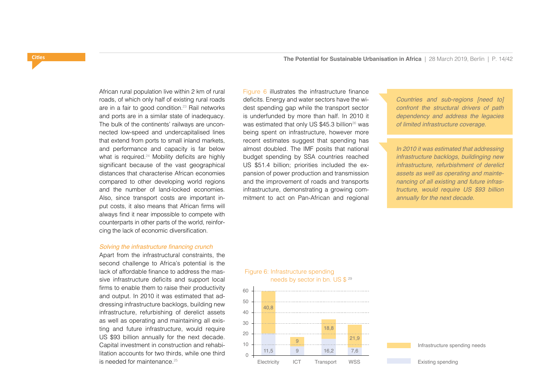African rural population live within 2 km of rural roads, of which only half of existing rural roads are in a fair to good condition.<sup>23</sup> Rail networks and ports are in a similar state of inadequacy. The bulk of the continents' railways are unconnected low-speed and undercapitalised lines that extend from ports to small inland markets, and performance and capacity is far below what is required.<sup>24</sup> Mobility deficits are highly significant because of the vast geographical distances that characterise African economies compared to other developing world regions and the number of land-locked economies. Also, since transport costs are important input costs, it also means that African firms will always find it near impossible to compete with counterparts in other parts of the world, reinforcing the lack of economic diversification.

#### Solving the infrastructure financing crunch

Apart from the infrastructural constraints, the second challenge to Africa's potential is the lack of affordable finance to address the massive infrastructure deficits and support local firms to enable them to raise their productivity and output. In 2010 it was estimated that addressing infrastructure backlogs, building new infrastructure, refurbishing of derelict assets as well as operating and maintaining all existing and future infrastructure, would require US \$93 billion annually for the next decade. Capital investment in construction and rehabilitation accounts for two thirds, while one third is needed for maintenance  $25$ 

Figure 6 illustrates the infrastructure finance deficits. Energy and water sectors have the widest spending gap while the transport sector is underfunded by more than half. In 2010 it was estimated that only US  $$45.3$  billion<sup>26</sup> was being spent on infrastructure, however more recent estimates suggest that spending has almost doubled. The IMF posits that national budget spending by SSA countries reached US \$51.4 billion; priorities included the expansion of power production and transmission and the improvement of roads and transports infrastructure, demonstrating a growing commitment to act on Pan-African and regional

*Countries and sub-regions [need to] confront the structural drivers of path dependency and address the legacies of limited infrastructure coverage.*

*In 2010 it was estimated that addressing infrastructure backlogs, buildinging new infrastructure, refurbishment of derelict assets as well as operating and maintenancing of all existing and future infrastructure, would require US \$93 billion annually for the next decade.*



needs by sector in bn. US \$ 29

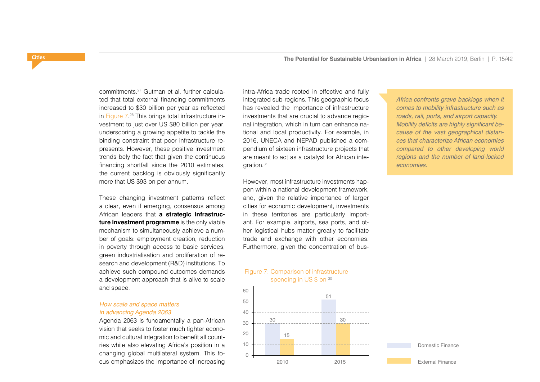commitments.27 Gutman et al. further calculated that total external financing commitments increased to \$30 billion per year as reflected in Figure 7. 28 This brings total infrastructure investment to just over US \$80 billion per year, underscoring a growing appetite to tackle the binding constraint that poor infrastructure represents. However, these positive investment trends bely the fact that given the continuous financing shortfall since the 2010 estimates, the current backlog is obviously significantly more that US \$93 bn per annum.

These changing investment patterns reflect a clear, even if emerging, consensus among African leaders that **a strategic infrastructure investment programme** is the only viable mechanism to simultaneously achieve a number of goals: employment creation, reduction in poverty through access to basic services, green industrialisation and proliferation of research and development (R&D) institutions. To achieve such compound outcomes demands a development approach that is alive to scale and space.

# *How scale and space matters in advancing Agenda 2063*

Agenda 2063 is fundamentally a pan-African vision that seeks to foster much tighter economic and cultural integration to benefit all countries while also elevating Africa's position in a changing global multilateral system. This focus emphasizes the importance of increasing

intra-Africa trade rooted in effective and fully integrated sub-regions. This geographic focus has revealed the importance of infrastructure investments that are crucial to advance regional integration, which in turn can enhance national and local productivity. For example, in 2016, UNECA and NEPAD published a compendium of sixteen infrastructure projects that are meant to act as a catalyst for African integration.31

However, most infrastructure investments happen within a national development framework, and, given the relative importance of larger cities for economic development, investments in these territories are particularly important. For example, airports, sea ports, and other logistical hubs matter greatly to facilitate trade and exchange with other economies. Furthermore, given the concentration of bus-

### Figure 7: Comparison of infrastructure spending in US \$ bn 30



*Africa confronts grave backlogs when it comes to mobility infrastructure such as roads, rail, ports, and airport capacity.* Mobility deficits are highly significant be*cause of the vast geographical distances that characterize African economies compared to other developing world regions and the number of land-locked economies.*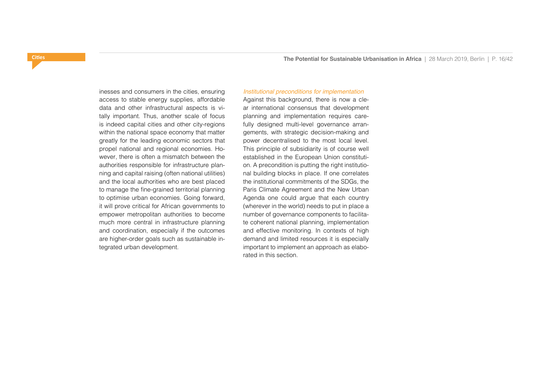inesses and consumers in the cities, ensuring access to stable energy supplies, affordable data and other infrastructural aspects is vitally important. Thus, another scale of focus is indeed capital cities and other city-regions within the national space economy that matter greatly for the leading economic sectors that propel national and regional economies. However, there is often a mismatch between the authorities responsible for infrastructure planning and capital raising (often national utilities) and the local authorities who are best placed to manage the fine-grained territorial planning to optimise urban economies. Going forward, it will prove critical for African governments to empower metropolitan authorities to become much more central in infrastructure planning and coordination, especially if the outcomes are higher-order goals such as sustainable integrated urban development.

### *Institutional preconditions for implementation*

Against this background, there is now a clear international consensus that development planning and implementation requires carefully designed multi-level governance arrangements, with strategic decision-making and power decentralised to the most local level. This principle of subsidiarity is of course well established in the European Union constitution. A precondition is putting the right institutional building blocks in place. If one correlates the institutional commitments of the SDGs, the Paris Climate Agreement and the New Urban Agenda one could argue that each country (wherever in the world) needs to put in place a number of governance components to facilitate coherent national planning, implementation and effective monitoring. In contexts of high demand and limited resources it is especially important to implement an approach as elaborated in this section.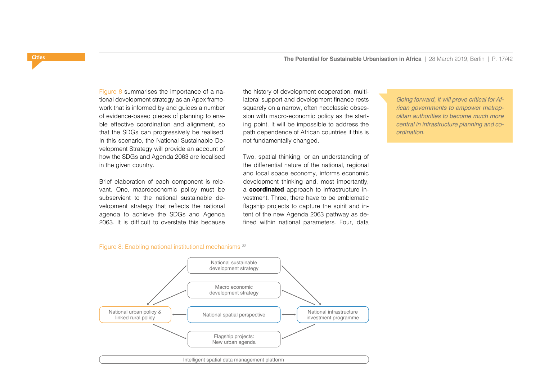the history of development cooperation, multilateral support and development finance rests squarely on a narrow, often neoclassic obsession with macro-economic policy as the starting point. It will be impossible to address the path dependence of African countries if this is

Two, spatial thinking, or an understanding of the differential nature of the national, regional and local space economy, informs economic development thinking and, most importantly, a **coordinated** approach to infrastructure investment. Three, there have to be emblematic flagship projects to capture the spirit and intent of the new Agenda 2063 pathway as defined within national parameters. Four, data

not fundamentally changed.

Figure 8 summarises the importance of a national development strategy as an Apex framework that is informed by and guides a number of evidence-based pieces of planning to enable effective coordination and alignment, so that the SDGs can progressively be realised. In this scenario, the National Sustainable Development Strategy will provide an account of how the SDGs and Agenda 2063 are localised in the given country.

Brief elaboration of each component is relevant. One, macroeconomic policy must be subservient to the national sustainable development strategy that reflects the national agenda to achieve the SDGs and Agenda 2063. It is difficult to overstate this because

Figure 8: Enabling national institutional mechanisms 32



*Going forward, it will prove critical for African governments to empower metropolitan authorities to become much more central in infrastructure planning and coordination.*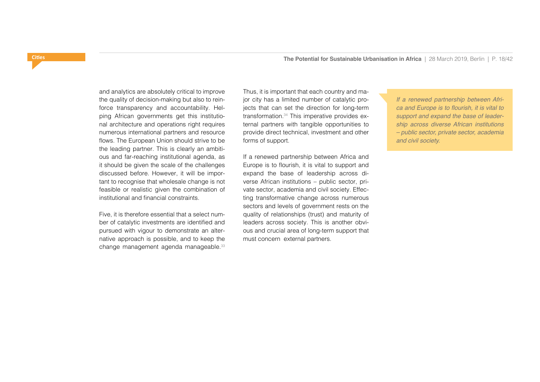and analytics are absolutely critical to improve the quality of decision-making but also to reinforce transparency and accountability. Helping African governments get this institutional architecture and operations right requires numerous international partners and resource flows. The European Union should strive to be the leading partner. This is clearly an ambitious and far-reaching institutional agenda, as it should be given the scale of the challenges discussed before. However, it will be important to recognise that wholesale change is not feasible or realistic given the combination of institutional and financial constraints.

Five, it is therefore essential that a select number of catalytic investments are identified and pursued with vigour to demonstrate an alternative approach is possible, and to keep the change management agenda manageable.33

Thus, it is important that each country and major city has a limited number of catalytic projects that can set the direction for long-term transformation.34 This imperative provides external partners with tangible opportunities to provide direct technical, investment and other forms of support.

If a renewed partnership between Africa and Europe is to flourish, it is vital to support and expand the base of leadership across diverse African institutions – public sector, private sector, academia and civil society. Effecting transformative change across numerous sectors and levels of government rests on the quality of relationships (trust) and maturity of leaders across society. This is another obvious and crucial area of long-term support that must concern external partners.

*If a renewed partnership between Afri*ca and Europe is to flourish, it is vital to *support and expand the base of leadership across diverse African institutions – public sector, private sector, academia and civil society.*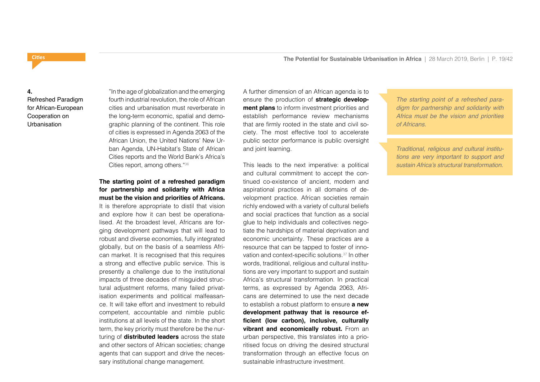#### **4.**

<span id="page-18-0"></span>**Cities**

Refreshed Paradigm for African-European Cooperation on **Urbanisation** 

"In the age of globalization and the emerging fourth industrial revolution, the role of African cities and urbanisation must reverberate in the long-term economic, spatial and demographic planning of the continent. This role of cities is expressed in Agenda 2063 of the African Union, the United Nations' New Urban Agenda, UN-Habitat's State of African Cities reports and the World Bank's Africa's Cities report, among others."36

# **The starting point of a refreshed paradigm for partnership and solidarity with Africa must be the vision and priorities of Africans.**

It is therefore appropriate to distil that vision and explore how it can best be operationalised. At the broadest level, Africans are forging development pathways that will lead to robust and diverse economies, fully integrated globally, but on the basis of a seamless African market. It is recognised that this requires a strong and effective public service. This is presently a challenge due to the institutional impacts of three decades of misguided structural adjustment reforms, many failed privatisation experiments and political malfeasance. It will take effort and investment to rebuild competent, accountable and nimble public institutions at all levels of the state. In the short term, the key priority must therefore be the nurturing of **distributed leaders** across the state and other sectors of African societies; change agents that can support and drive the necessary institutional change management.

A further dimension of an African agenda is to ensure the production of **strategic development plans** to inform investment priorities and establish performance review mechanisms that are firmly rooted in the state and civil society. The most effective tool to accelerate public sector performance is public oversight and joint learning.

This leads to the next imperative: a political and cultural commitment to accept the continued co-existence of ancient, modern and aspirational practices in all domains of development practice. African societies remain richly endowed with a variety of cultural beliefs and social practices that function as a social glue to help individuals and collectives negotiate the hardships of material deprivation and economic uncertainty. These practices are a resource that can be tapped to foster of innovation and context-specific solutions.37 In other words, traditional, religious and cultural institutions are very important to support and sustain Africa's structural transformation. In practical terms, as expressed by Agenda 2063, Africans are determined to use the next decade to establish a robust platform to ensure **a new development pathway that is resource efficient (low carbon), inclusive, culturally vibrant and economically robust.** From an urban perspective, this translates into a prioritised focus on driving the desired structural transformation through an effective focus on sustainable infrastructure investment.

*The starting point of a refreshed paradigm for partnership and solidarity with Africa must be the vision and priorities of Africans.*

*Traditional, religious and cultural institutions are very important to support and*  sustain Africa's structural transformation.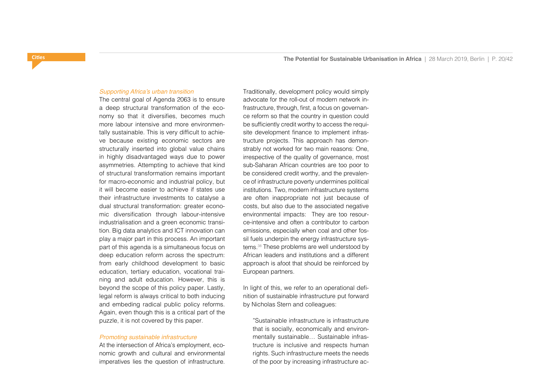#### Supporting Africa's urban transition

The central goal of Agenda 2063 is to ensure a deep structural transformation of the economy so that it diversifies, becomes much more labour intensive and more environmentally sustainable. This is very difficult to achieve because existing economic sectors are structurally inserted into global value chains in highly disadvantaged ways due to power asymmetries. Attempting to achieve that kind of structural transformation remains important for macro-economic and industrial policy, but it will become easier to achieve if states use their infrastructure investments to catalyse a dual structural transformation: greater economic diversification through labour-intensive industrialisation and a green economic transition. Big data analytics and ICT innovation can play a major part in this process. An important part of this agenda is a simultaneous focus on deep education reform across the spectrum: from early childhood development to basic education, tertiary education, vocational training and adult education. However, this is beyond the scope of this policy paper. Lastly, legal reform is always critical to both inducing and embeding radical public policy reforms. Again, even though this is a critical part of the puzzle, it is not covered by this paper.

#### *Promoting sustainable infrastructure*

At the intersection of Africa's employment, economic growth and cultural and environmental imperatives lies the question of infrastructure.

Traditionally, development policy would simply advocate for the roll-out of modern network infrastructure, through, first, a focus on governance reform so that the country in question could be sufficiently credit worthy to access the requisite development finance to implement infrastructure projects. This approach has demonstrably not worked for two main reasons: One, irrespective of the quality of governance, most sub-Saharan African countries are too poor to be considered credit worthy, and the prevalence of infrastructure poverty undermines political institutions. Two, modern infrastructure systems are often inappropriate not just because of costs, but also due to the associated negative environmental impacts: They are too resource-intensive and often a contributor to carbon emissions, especially when coal and other fossil fuels underpin the energy infrastructure systems.38 These problems are well understood by African leaders and institutions and a different approach is afoot that should be reinforced by European partners.

In light of this, we refer to an operational definition of sustainable infrastructure put forward by Nicholas Stern and colleagues:

ˮSustainable infrastructure is infrastructure that is socially, economically and environmentally sustainable… Sustainable infrastructure is inclusive and respects human rights. Such infrastructure meets the needs of the poor by increasing infrastructure ac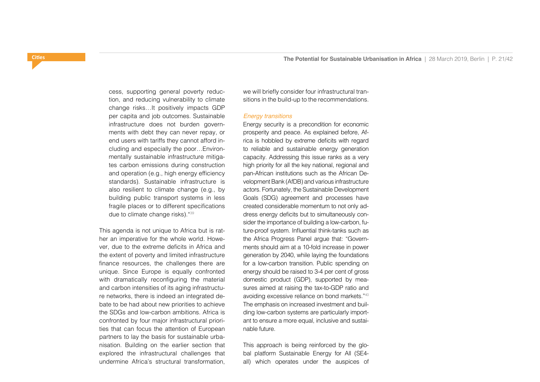cess, supporting general poverty reduction, and reducing vulnerability to climate change risks…It positively impacts GDP per capita and job outcomes. Sustainable infrastructure does not burden governments with debt they can never repay, or end users with tariffs they cannot afford including and especially the poor…Environmentally sustainable infrastructure mitigates carbon emissions during construction and operation (e.g., high energy efficiency standards). Sustainable infrastructure is also resilient to climate change (e.g., by building public transport systems in less fragile places or to different specifications due to climate change risks)."39

This agenda is not unique to Africa but is rather an imperative for the whole world. However, due to the extreme deficits in Africa and the extent of poverty and limited infrastructure finance resources, the challenges there are unique. Since Europe is equally confronted with dramatically reconfiguring the material and carbon intensities of its aging infrastructure networks, there is indeed an integrated debate to be had about new priorities to achieve the SDGs and low-carbon ambitions. Africa is confronted by four major infrastructural priorities that can focus the attention of European partners to lay the basis for sustainable urbanisation. Building on the earlier section that explored the infrastructural challenges that undermine Africa's structural transformation,

we will briefly consider four infrastructural transitions in the build-up to the recommendations.

#### *Energy transitions*

Energy security is a precondition for economic prosperity and peace. As explained before, Africa is hobbled by extreme deficits with regard to reliable and sustainable energy generation capacity. Addressing this issue ranks as a very high priority for all the key national, regional and pan-African institutions such as the African Development Bank (AfDB) and various infrastructure actors. Fortunately, the Sustainable Development Goals (SDG) agreement and processes have created considerable momentum to not only address energy deficits but to simultaneously consider the importance of building a low-carbon, future-proof system. Influential think-tanks such as the Africa Progress Panel argue that: "Governments should aim at a 10-fold increase in power generation by 2040, while laying the foundations for a low-carbon transition. Public spending on energy should be raised to 3-4 per cent of gross domestic product (GDP), supported by measures aimed at raising the tax-to-GDP ratio and avoiding excessive reliance on bond markets."40 The emphasis on increased investment and building low-carbon systems are particularly important to ensure a more equal, inclusive and sustainable future.

This approach is being reinforced by the global platform Sustainable Energy for All (SE4 all) which operates under the auspices of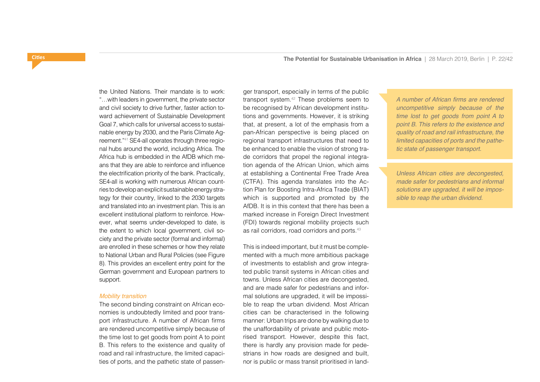the United Nations. Their mandate is to work: "…with leaders in government, the private sector and civil society to drive further, faster action toward achievement of Sustainable Development Goal 7, which calls for universal access to sustainable energy by 2030, and the Paris Climate Agreement."41 SE4-all operates through three regional hubs around the world, including Africa. The Africa hub is embedded in the AfDB which means that they are able to reinforce and influence the electrification priority of the bank. Practically, SE4-all is working with numerous African countries to develop an explicit sustainable energy strategy for their country, linked to the 2030 targets and translated into an investment plan. This is an excellent institutional platform to reinforce. However, what seems under-developed to date, is the extent to which local government, civil society and the private sector (formal and informal) are enrolled in these schemes or how they relate to National Urban and Rural Policies (see Figure 8). This provides an excellent entry point for the German government and European partners to support.

#### *Mobility transition*

The second binding constraint on African economies is undoubtedly limited and poor transport infrastructure. A number of African firms are rendered uncompetitive simply because of the time lost to get goods from point A to point B. This refers to the existence and quality of road and rail infrastructure, the limited capacities of ports, and the pathetic state of passenger transport, especially in terms of the public transport system.42 These problems seem to be recognised by African development institutions and governments. However, it is striking that, at present, a lot of the emphasis from a pan-African perspective is being placed on regional transport infrastructures that need to be enhanced to enable the vision of strong trade corridors that propel the regional integration agenda of the African Union, which aims at establishing a Continental Free Trade Area (CTFA). This agenda translates into the Action Plan for Boosting Intra-Africa Trade (BIAT) which is supported and promoted by the AfDB. It is in this context that there has been a marked increase in Foreign Direct Investment (FDI) towards regional mobility projects such as rail corridors, road corridors and ports.<sup>43</sup>

This is indeed important, but it must be complemented with a much more ambitious package of investments to establish and grow integrated public transit systems in African cities and towns. Unless African cities are decongested, and are made safer for pedestrians and informal solutions are upgraded, it will be impossible to reap the urban dividend. Most African cities can be characterised in the following manner: Urban trips are done by walking due to the unaffordability of private and public motorised transport. However, despite this fact, there is hardly any provision made for pedestrians in how roads are designed and built, nor is public or mass transit prioritised in landA number of African firms are rendered *uncompetitive simply because of the time lost to get goods from point A to point B. This refers to the existence and quality of road and rail infrastructure, the limited capacities of ports and the pathetic state of passenger transport.*

*Unless African cities are decongested, made safer for pedestrians and informal solutions are upgraded, it will be impossible to reap the urban dividend.*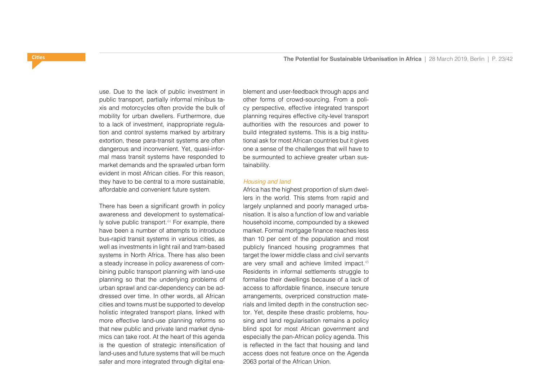use. Due to the lack of public investment in public transport, partially informal minibus taxis and motorcycles often provide the bulk of mobility for urban dwellers. Furthermore, due to a lack of investment, inappropriate regulation and control systems marked by arbitrary extortion, these para-transit systems are often dangerous and inconvenient. Yet, quasi-informal mass transit systems have responded to market demands and the sprawled urban form evident in most African cities. For this reason, they have to be central to a more sustainable, affordable and convenient future system.

There has been a significant growth in policy awareness and development to systematically solve public transport.<sup>44</sup> For example, there have been a number of attempts to introduce bus-rapid transit systems in various cities, as well as investments in light rail and tram-based systems in North Africa. There has also been a steady increase in policy awareness of combining public transport planning with land-use planning so that the underlying problems of urban sprawl and car-dependency can be addressed over time. In other words, all African cities and towns must be supported to develop holistic integrated transport plans, linked with more effective land-use planning reforms so that new public and private land market dynamics can take root. At the heart of this agenda is the question of strategic intensification of land-uses and future systems that will be much safer and more integrated through digital enablement and user-feedback through apps and other forms of crowd-sourcing. From a policy perspective, effective integrated transport planning requires effective city-level transport authorities with the resources and power to build integrated systems. This is a big institutional ask for most African countries but it gives one a sense of the challenges that will have to be surmounted to achieve greater urban sustainability.

#### *Housing and land*

Africa has the highest proportion of slum dwellers in the world. This stems from rapid and largely unplanned and poorly managed urbanisation. It is also a function of low and variable household income, compounded by a skewed market. Formal mortgage finance reaches less than 10 per cent of the population and most publicly financed housing programmes that target the lower middle class and civil servants are very small and achieve limited impact.45 Residents in informal settlements struggle to formalise their dwellings because of a lack of access to affordable finance, insecure tenure arrangements, overpriced construction materials and limited depth in the construction sector. Yet, despite these drastic problems, housing and land regularisation remains a policy blind spot for most African government and especially the pan-African policy agenda. This is reflected in the fact that housing and land access does not feature once on the Agenda 2063 portal of the African Union.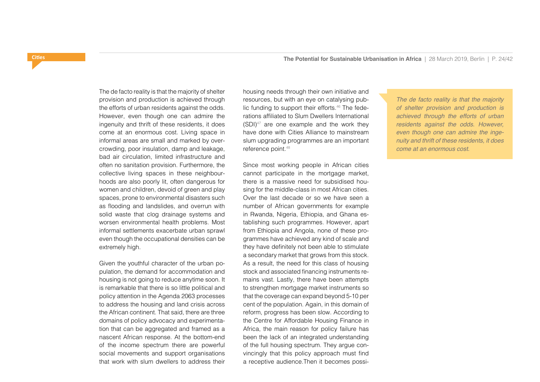The de facto reality is that the majority of shelter provision and production is achieved through the efforts of urban residents against the odds. However, even though one can admire the ingenuity and thrift of these residents, it does come at an enormous cost. Living space in informal areas are small and marked by overcrowding, poor insulation, damp and leakage, bad air circulation, limited infrastructure and often no sanitation provision. Furthermore, the collective living spaces in these neighbourhoods are also poorly lit, often dangerous for women and children, devoid of green and play spaces, prone to environmental disasters such as flooding and landslides, and overrun with solid waste that clog drainage systems and worsen environmental health problems. Most informal settlements exacerbate urban sprawl even though the occupational densities can be extremely high.

Given the youthful character of the urban population, the demand for accommodation and housing is not going to reduce anytime soon. It is remarkable that there is so little political and policy attention in the Agenda 2063 processes to address the housing and land crisis across the African continent. That said, there are three domains of policy advocacy and experimentation that can be aggregated and framed as a nascent African response. At the bottom-end of the income spectrum there are powerful social movements and support organisations that work with slum dwellers to address their

housing needs through their own initiative and resources, but with an eye on catalysing public funding to support their efforts.<sup>46</sup> The federations affiliated to Slum Dwellers International  $(SDI)^{47}$  are one example and the work they have done with Cities Alliance to mainstream slum upgrading programmes are an important reference point.48

Since most working people in African cities cannot participate in the mortgage market, there is a massive need for subsidised housing for the middle-class in most African cities. Over the last decade or so we have seen a number of African governments for example in Rwanda, Nigeria, Ethiopia, and Ghana establishing such programmes. However, apart from Ethiopia and Angola, none of these programmes have achieved any kind of scale and they have definitely not been able to stimulate a secondary market that grows from this stock. As a result, the need for this class of housing stock and associated financing instruments remains vast. Lastly, there have been attempts to strengthen mortgage market instruments so that the coverage can expand beyond 5-10 per cent of the population. Again, in this domain of reform, progress has been slow. According to the Centre for Affordable Housing Finance in Africa, the main reason for policy failure has been the lack of an integrated understanding of the full housing spectrum. They argue convincingly that this policy approach must find a receptive audience.Then it becomes possi-

*The de facto reality is that the majority of shelter provision and production is achieved through the efforts of urban residents against the odds. However, even though one can admire the ingenuity and thrift of these residents, it does come at an enormous cost.*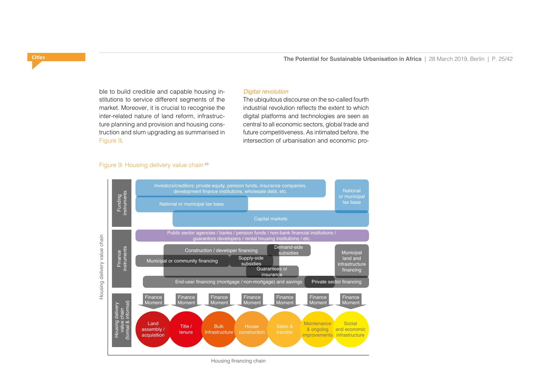ble to build credible and capable housing institutions to service different segments of the market. Moreover, it is crucial to recognise the inter-related nature of land reform, infrastructure planning and provision and housing construction and slum upgrading as summarised in Figure 9.

### *Digital revolution*

The ubiquitous discourse on the so-called fourth industrial revolution reflects the extent to which digital platforms and technologies are seen as central to all economic sectors, global trade and future competitiveness. As intimated before, the intersection of urbanisation and economic pro-

# Figure 9: Housing delivery value chain 49



Housing financing chain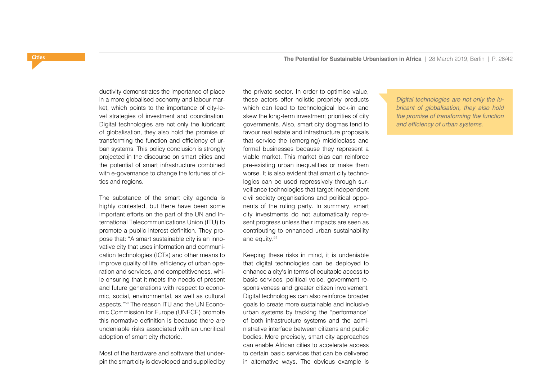ductivity demonstrates the importance of place in a more globalised economy and labour market, which points to the importance of city-level strategies of investment and coordination. Digital technologies are not only the lubricant of globalisation, they also hold the promise of transforming the function and efficiency of urban systems. This policy conclusion is strongly projected in the discourse on smart cities and the potential of smart infrastructure combined with e-governance to change the fortunes of cities and regions.

The substance of the smart city agenda is highly contested, but there have been some important efforts on the part of the UN and International Telecommunications Union (ITU) to promote a public interest definition. They propose that: "A smart sustainable city is an innovative city that uses information and communication technologies (ICTs) and other means to improve quality of life, efficiency of urban operation and services, and competitiveness, while ensuring that it meets the needs of present and future generations with respect to economic, social, environmental, as well as cultural aspects."50 The reason ITU and the UN Economic Commission for Europe (UNECE) promote this normative definition is because there are undeniable risks associated with an uncritical adoption of smart city rhetoric.

Most of the hardware and software that underpin the smart city is developed and supplied by the private sector. In order to optimise value, these actors offer holistic propriety products which can lead to technological lock-in and skew the long-term investment priorities of city governments. Also, smart city dogmas tend to favour real estate and infrastructure proposals that service the (emerging) middleclass and formal businesses because they represent a viable market. This market bias can reinforce pre-existing urban inequalities or make them worse. It is also evident that smart city technologies can be used repressively through surveillance technologies that target independent civil society organisations and political opponents of the ruling party. In summary, smart city investments do not automatically represent progress unless their impacts are seen as contributing to enhanced urban sustainability and equity.<sup>51</sup>

Keeping these risks in mind, it is undeniable that digital technologies can be deployed to enhance a city's in terms of equitable access to basic services, political voice, government responsiveness and greater citizen involvement. Digital technologies can also reinforce broader goals to create more sustainable and inclusive urban systems by tracking the "performance" of both infrastructure systems and the administrative interface between citizens and public bodies. More precisely, smart city approaches can enable African cities to accelerate access to certain basic services that can be delivered in alternative ways. The obvious example is

*Digital technologies are not only the lubricant of globalisation, they also hold the promise of transforming the function*  and efficiency of urban systems.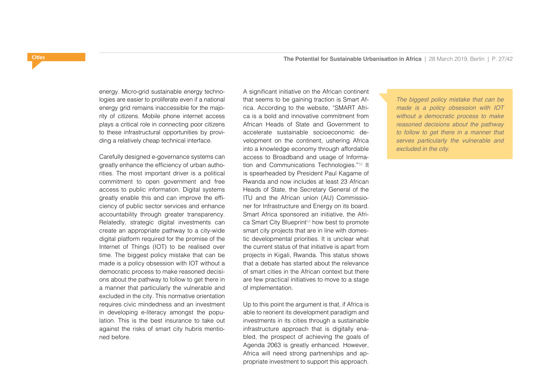energy. Micro-grid sustainable energy technologies are easier to proliferate even if a national energy grid remains inaccessible for the majority of citizens. Mobile phone internet access plays a critical role in connecting poor citizens to these infrastructural opportunities by providing a relatively cheap technical interface.

Carefully designed e-governance systems can greatly enhance the efficiency of urban authorities. The most important driver is a political commitment to open government and free access to public information. Digital systems greatly enable this and can improve the efficiency of public sector services and enhance accountability through greater transparency. Relatedly, strategic digital investments can create an appropriate pathway to a city-wide digital platform required for the promise of the Internet of Things (IOT) to be realised over time. The biggest policy mistake that can be made is a policy obsession with IOT without a democratic process to make reasoned decisions about the pathway to follow to get there in a manner that particularly the vulnerable and excluded in the city. This normative orientation requires civic mindedness and an investment in developing e-literacy amongst the population. This is the best insurance to take out against the risks of smart city hubris mentioned before.

A significant initiative on the African continent that seems to be gaining traction is Smart Africa. According to the website, "SMART Africa is a bold and innovative commitment from African Heads of State and Government to accelerate sustainable socioeconomic development on the continent, ushering Africa into a knowledge economy through affordable access to Broadband and usage of Information and Communications Technologies."52 It is spearheaded by President Paul Kagame of Rwanda and now includes at least 23 African Heads of State, the Secretary General of the ITU and the African union (AU) Commissioner for Infrastructure and Energy on its board. Smart Africa sponsored an initiative, the Africa Smart City Blueprint<sup>53</sup> how best to promote smart city projects that are in line with domestic developmental priorities. It is unclear what the current status of that initiative is apart from projects in Kigali, Rwanda. This status shows that a debate has started about the relevance of smart cities in the African context but there are few practical initiatives to move to a stage of implementation.

Up to this point the argument is that, if Africa is able to reorient its development paradigm and investments in its cities through a sustainable infrastructure approach that is digitally enabled, the prospect of achieving the goals of Agenda 2063 is greatly enhanced. However, Africa will need strong partnerships and appropriate investment to support this approach.

*The biggest policy mistake that can be made is a policy obsession with IOT without a democratic process to make reasoned decisions about the pathway to follow to get there in a manner that serves particularly the vulnerable and excluded in the city.*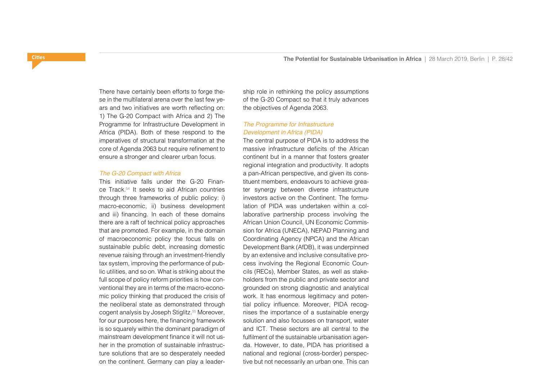There have certainly been efforts to forge these in the multilateral arena over the last few years and two initiatives are worth reflecting on: 1) The G-20 Compact with Africa and 2) The Programme for Infrastructure Development in Africa (PIDA). Both of these respond to the imperatives of structural transformation at the core of Agenda 2063 but require refinement to ensure a stronger and clearer urban focus.

#### *The G-20 Compact with Africa*

This initiative falls under the G-20 Finance Track.54 It seeks to aid African countries through three frameworks of public policy: i) macro-economic, ii) business development and iii) financing. In each of these domains there are a raft of technical policy approaches that are promoted. For example, in the domain of macroeconomic policy the focus falls on sustainable public debt, increasing domestic revenue raising through an investment-friendly tax system, improving the performance of public utilities, and so on. What is striking about the full scope of policy reform priorities is how conventional they are in terms of the macro-economic policy thinking that produced the crisis of the neoliberal state as demonstrated through cogent analysis by Joseph Stiglitz.55 Moreover, for our purposes here, the financing framework is so squarely within the dominant paradigm of mainstream development finance it will not usher in the promotion of sustainable infrastructure solutions that are so desperately needed on the continent. Germany can play a leadership role in rethinking the policy assumptions of the G-20 Compact so that it truly advances the objectives of Agenda 2063.

# *The Programme for Infrastructure Development in Africa (PIDA)*

The central purpose of PIDA is to address the massive infrastructure deficits of the African continent but in a manner that fosters greater regional integration and productivity. It adopts a pan-African perspective, and given its constituent members, endeavours to achieve greater synergy between diverse infrastructure investors active on the Continent. The formulation of PIDA was undertaken within a collaborative partnership process involving the African Union Council, UN Economic Commission for Africa (UNECA), NEPAD Planning and Coordinating Agency (NPCA) and the African Development Bank (AfDB), it was underpinned by an extensive and inclusive consultative process involving the Regional Economic Councils (RECs), Member States, as well as stakeholders from the public and private sector and grounded on strong diagnostic and analytical work. It has enormous legitimacy and potential policy influence. Moreover, PIDA recognises the importance of a sustainable energy solution and also focusses on transport, water and ICT. These sectors are all central to the fulfilment of the sustainable urbanisation agenda. However, to date, PIDA has prioritised a national and regional (cross-border) perspective but not necessarily an urban one. This can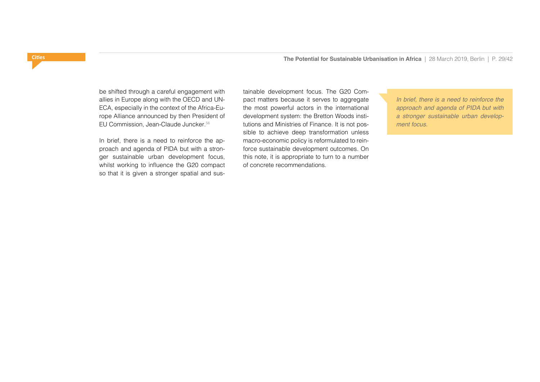be shifted through a careful engagement with allies in Europe along with the OECD and UN-ECA, especially in the context of the Africa-Europe Alliance announced by then President of EU Commission, Jean-Claude Juncker.56

In brief, there is a need to reinforce the approach and agenda of PIDA but with a stronger sustainable urban development focus, whilst working to influence the G20 compact so that it is given a stronger spatial and sustainable development focus. The G20 Compact matters because it serves to aggregate the most powerful actors in the international development system: the Bretton Woods institutions and Ministries of Finance. It is not possible to achieve deep transformation unless macro-economic policy is reformulated to reinforce sustainable development outcomes. On this note, it is appropriate to turn to a number of concrete recommendations.

*In brief, there is a need to reinforce the approach and agenda of PIDA but with a stronger sustainable urban development focus.*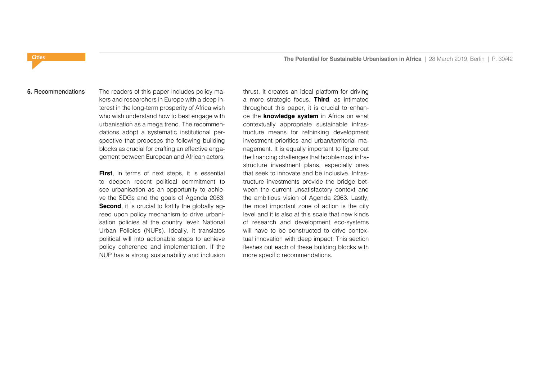#### **5.** Recommendations

The readers of this paper includes policy makers and researchers in Europe with a deep interest in the long-term prosperity of Africa wish who wish understand how to best engage with urbanisation as a mega trend. The recommendations adopt a systematic institutional perspective that proposes the following building blocks as crucial for crafting an effective engagement between European and African actors.

**First**, in terms of next steps, it is essential to deepen recent political commitment to see urbanisation as an opportunity to achieve the SDGs and the goals of Agenda 2063. **Second**, it is crucial to fortify the globally agreed upon policy mechanism to drive urbanisation policies at the country level: National Urban Policies (NUPs). Ideally, it translates political will into actionable steps to achieve policy coherence and implementation. If the NUP has a strong sustainability and inclusion

thrust, it creates an ideal platform for driving a more strategic focus. **Third**, as intimated throughout this paper, it is crucial to enhance the **knowledge system** in Africa on what contextually appropriate sustainable infrastructure means for rethinking development investment priorities and urban/territorial management. It is equally important to figure out the financing challenges that hobble most infrastructure investment plans, especially ones that seek to innovate and be inclusive. Infrastructure investments provide the bridge between the current unsatisfactory context and the ambitious vision of Agenda 2063. Lastly, the most important zone of action is the city level and it is also at this scale that new kinds of research and development eco-systems will have to be constructed to drive contextual innovation with deep impact. This section fleshes out each of these building blocks with more specific recommendations.

<span id="page-29-0"></span>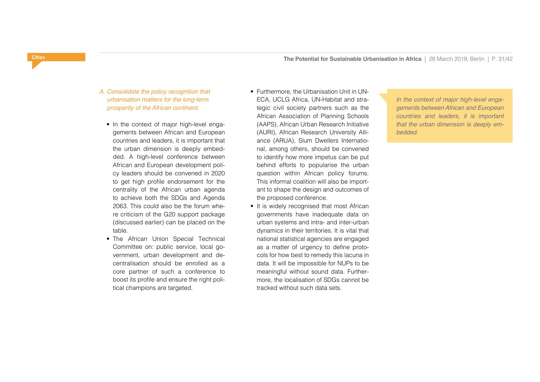- *A. Consolidate the policy recognition that urbanisation matters for the long-term prosperity of the African continent.*
	- In the context of major high-level engagements between African and European countries and leaders, it is important that the urban dimension is deeply embedded. A high-level conference between African and European development policy leaders should be convened in 2020 to get high profile endorsement for the centrality of the African urban agenda to achieve both the SDGs and Agenda 2063. This could also be the forum where criticism of the G20 support package (discussed earlier) can be placed on the table.
	- The African Union Special Technical Committee on: public service, local government, urban development and decentralisation should be enrolled as a core partner of such a conference to boost its profile and ensure the right political champions are targeted.
- Furthermore, the Urbanisation Unit in UN-ECA, UCLG Africa, UN-Habitat and strategic civil society partners such as the African Association of Planning Schools (AAPS), African Urban Research Initiative (AURI), African Research University Alliance (ARUA), Slum Dwellers International, among others, should be convened to identify how more impetus can be put behind efforts to popularise the urban question within African policy forums. This informal coalition will also be important to shape the design and outcomes of the proposed conference.
- It is widely recognised that most African governments have inadequate data on urban systems and intra- and inter-urban dynamics in their territories. It is vital that national statistical agencies are engaged as a matter of urgency to define protocols for how best to remedy this lacuna in data. It will be impossible for NUPs to be meaningful without sound data. Furthermore, the localisation of SDGs cannot be tracked without such data sets.

*In the context of major high-level engagements between African and European countries and leaders, it is important that the urban dimension is deeply embedded.*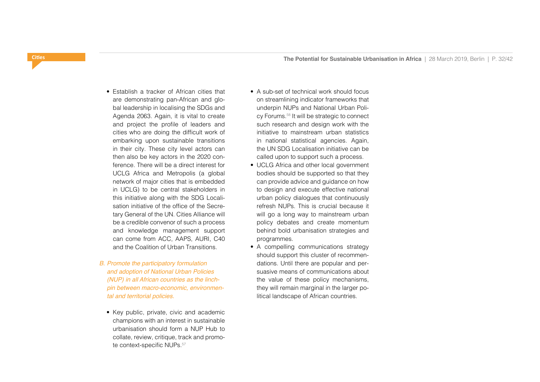- Establish a tracker of African cities that are demonstrating pan-African and global leadership in localising the SDGs and Agenda 2063. Again, it is vital to create and project the profile of leaders and cities who are doing the difficult work of embarking upon sustainable transitions in their city. These city level actors can then also be key actors in the 2020 conference. There will be a direct interest for UCLG Africa and Metropolis (a global network of major cities that is embedded in UCLG) to be central stakeholders in this initiative along with the SDG Localisation initiative of the office of the Secretary General of the UN. Cities Alliance will be a credible convenor of such a process and knowledge management support can come from ACC, AAPS, AURI, C40 and the Coalition of Urban Transitions.
- *B. Promote the participatory formulation and adoption of National Urban Policies (NUP) in all African countries as the linchpin between macro-economic, environmental and territorial policies.*
	- Key public, private, civic and academic champions with an interest in sustainable urbanisation should form a NUP Hub to collate, review, critique, track and promote context-specific NUPs.<sup>57</sup>
- A sub-set of technical work should focus on streamlining indicator frameworks that underpin NUPs and National Urban Policy Forums.58 It will be strategic to connect such research and design work with the initiative to mainstream urban statistics in national statistical agencies. Again, the UN SDG Localisation initiative can be called upon to support such a process.
- UCLG Africa and other local government bodies should be supported so that they can provide advice and guidance on how to design and execute effective national urban policy dialogues that continuously refresh NUPs. This is crucial because it will go a long way to mainstream urban policy debates and create momentum behind bold urbanisation strategies and programmes.
- A compelling communications strategy should support this cluster of recommendations. Until there are popular and persuasive means of communications about the value of these policy mechanisms, they will remain marginal in the larger political landscape of African countries.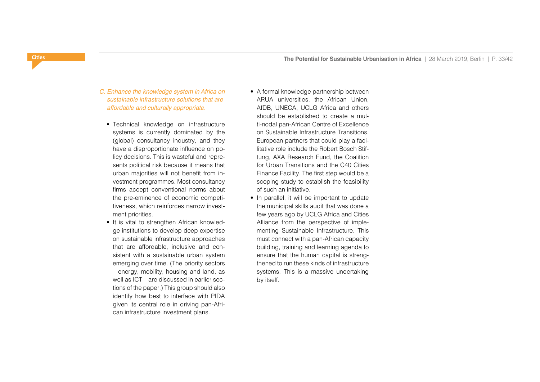- *C. Enhance the knowledge system in Africa on sustainable infrastructure solutions that are affordable and culturally appropriate.*
	- Technical knowledge on infrastructure systems is currently dominated by the (global) consultancy industry, and they have a disproportionate influence on policy decisions. This is wasteful and represents political risk because it means that urban majorities will not benefit from investment programmes. Most consultancy firms accept conventional norms about the pre-eminence of economic competitiveness, which reinforces narrow investment priorities.
	- It is vital to strengthen African knowledge institutions to develop deep expertise on sustainable infrastructure approaches that are affordable, inclusive and consistent with a sustainable urban system emerging over time. (The priority sectors – energy, mobility, housing and land, as well as ICT – are discussed in earlier sections of the paper.) This group should also identify how best to interface with PIDA given its central role in driving pan-African infrastructure investment plans.
- A formal knowledge partnership between ARUA universities, the African Union, AfDB, UNECA, UCLG Africa and others should be established to create a multi-nodal pan-African Centre of Excellence on Sustainable Infrastructure Transitions. European partners that could play a facilitative role include the Robert Bosch Stiftung, AXA Research Fund, the Coalition for Urban Transitions and the C40 Cities Finance Facility. The first step would be a scoping study to establish the feasibility of such an initiative.
- In parallel, it will be important to update the municipal skills audit that was done a few years ago by UCLG Africa and Cities Alliance from the perspective of implementing Sustainable Infrastructure. This must connect with a pan-African capacity building, training and learning agenda to ensure that the human capital is strengthened to run these kinds of infrastructure systems. This is a massive undertaking by itself.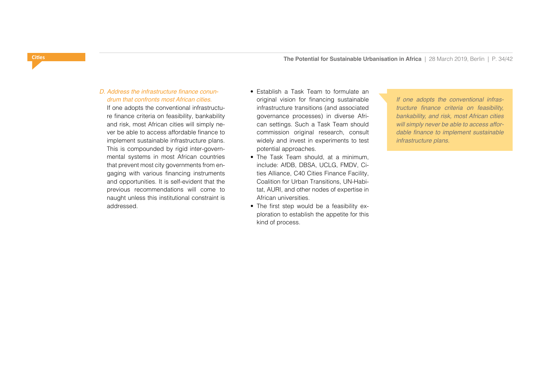# D. Address the infrastructure finance conun*drum that confronts most African cities.*

 If one adopts the conventional infrastructure finance criteria on feasibility, bankability and risk, most African cities will simply never be able to access affordable finance to implement sustainable infrastructure plans. This is compounded by rigid inter-governmental systems in most African countries that prevent most city governments from engaging with various financing instruments and opportunities. It is self-evident that the previous recommendations will come to naught unless this institutional constraint is addressed.

- Establish a Task Team to formulate an original vision for financing sustainable infrastructure transitions (and associated governance processes) in diverse African settings. Such a Task Team should commission original research, consult widely and invest in experiments to test potential approaches.
- The Task Team should, at a minimum, include: AfDB, DBSA, UCLG, FMDV, Cities Alliance, C40 Cities Finance Facility, Coalition for Urban Transitions, UN-Habitat, AURI, and other nodes of expertise in African universities.
- The first step would be a feasibility exploration to establish the appetite for this kind of process.

*If one adopts the conventional infras*tructure finance criteria on feasibility, *bankability, and risk, most African cities will simply never be able to access affor*dable finance to implement sustainable *infrastructure plans.*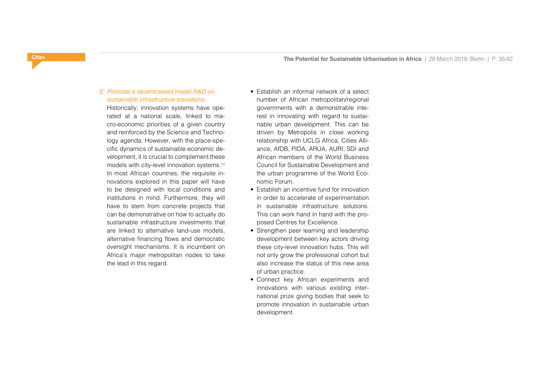# *E. Promote a decentralised model R&D on sustainable infrastructure transitions.*

Historically, innovation systems have operated at a national scale, linked to macro-economic priorities of a given country and reinforced by the Science and Technology agenda. However, with the place-specific dynamics of sustainable economic development, it is crucial to complement these models with city-level innovation systems.59 In most African countries, the requisite innovations explored in this paper will have to be designed with local conditions and institutions in mind. Furthermore, they will have to stem from concrete projects that can be demonstrative on how to actually do sustainable infrastructure investments that are linked to alternative land-use models, alternative financing flows and democratic oversight mechanisms. It is incumbent on Africa's major metropolitan nodes to take the lead in this regard.

- Establish an informal network of a select number of African metropolitan/regional governments with a demonstrable interest in innovating with regard to sustainable urban development. This can be driven by Metropolis in close working relationship with UCLG Africa, Cities Alliance, AfDB, PIDA, ARUA, AURI, SDI and African members of the World Business Council for Sustainable Development and the urban programme of the World Economic Forum.
- Establish an incentive fund for innovation in order to accelerate of experimentation in sustainable infrastructure solutions. This can work hand in hand with the proposed Centres for Excellence.
- Strengthen peer learning and leadership development between key actors driving these city-level innovation hubs. This will not only grow the professional cohort but also increase the status of this new area of urban practice.
- Connect key African experiments and innovations with various existing international prize giving bodies that seek to promote innovation in sustainable urban development.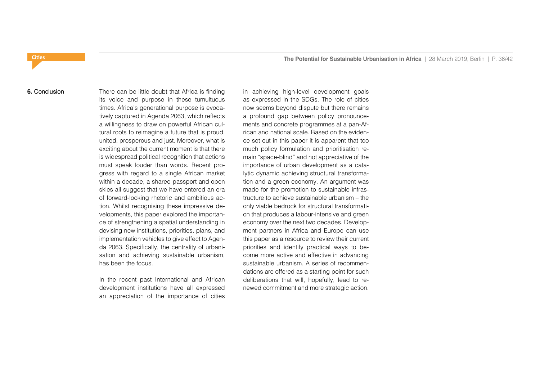#### **6.** Conclusion

There can be little doubt that Africa is finding its voice and purpose in these tumultuous times. Africa's generational purpose is evocatively captured in Agenda 2063, which reflects a willingness to draw on powerful African cultural roots to reimagine a future that is proud, united, prosperous and just. Moreover, what is exciting about the current moment is that there is widespread political recognition that actions must speak louder than words. Recent progress with regard to a single African market within a decade, a shared passport and open skies all suggest that we have entered an era of forward-looking rhetoric and ambitious action. Whilst recognising these impressive developments, this paper explored the importance of strengthening a spatial understanding in devising new institutions, priorities, plans, and implementation vehicles to give effect to Agenda 2063. Specifically, the centrality of urbanisation and achieving sustainable urbanism, has been the focus.

In the recent past International and African development institutions have all expressed an appreciation of the importance of cities

in achieving high-level development goals as expressed in the SDGs. The role of cities now seems beyond dispute but there remains a profound gap between policy pronouncements and concrete programmes at a pan-African and national scale. Based on the evidence set out in this paper it is apparent that too much policy formulation and prioritisation remain "space-blind" and not appreciative of the importance of urban development as a catalytic dynamic achieving structural transformation and a green economy. An argument was made for the promotion to sustainable infrastructure to achieve sustainable urbanism – the only viable bedrock for structural transformation that produces a labour-intensive and green economy over the next two decades. Development partners in Africa and Europe can use this paper as a resource to review their current priorities and identify practical ways to become more active and effective in advancing sustainable urbanism. A series of recommendations are offered as a starting point for such deliberations that will, hopefully, lead to renewed commitment and more strategic action.

# <span id="page-35-0"></span>**Cities**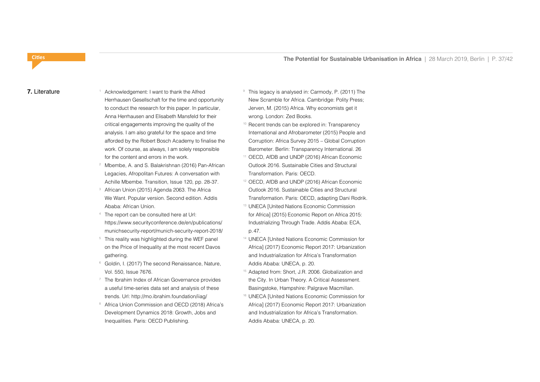#### **7.** Literature

<span id="page-36-0"></span>**Cities**

- Acknowledgement: I want to thank the Alfred Herrhausen Gesellschaft for the time and opportunity to conduct the research for this paper. In particular, Anna Herrhausen and Elisabeth Mansfeld for their critical engagements improving the quality of the analysis. I am also grateful for the space and time afforded by the Robert Bosch Academy to finalise the work. Of course, as always, I am solely responsible for the content and errors in the work.
- <sup>2</sup> Mbembe, A. and S. Balakrishnan (2016) Pan-African Legacies, Afropolitan Futures: A conversation with Achille Mbembe. Transition, Issue 120, pp. 28-37.
- African Union (2015) Agenda 2063. The Africa We Want. Popular version. Second edition. Addis Ababa: African Union.
- 4 The report can be consulted here at Url: https://www.securityconference.de/en/publications/ munichsecurity-report/munich-security-report-2018/
- <sup>5</sup> This reality was highlighted during the WEF panel on the Price of Inequality at the most recent Davos gathering.
- <sup>6</sup> Goldin, I. (2017) The second Renaissance, Nature, Vol. 550, Issue 7676.
- <sup>7</sup> The Ibrahim Index of African Governance provides a useful time-series data set and analysis of these trends. Url: http://mo.ibrahim.foundation/iiag/
- 8 Africa Union Commission and OECD (2018) Africa's Development Dynamics 2018: Growth, Jobs and Inequalities. Paris: OECD Publishing.
- <sup>9</sup> This legacy is analysed in: Carmody, P. (2011) The New Scramble for Africa. Cambridge: Polity Press; Jerven, M. (2015) Africa. Why economists get it wrong. London: Zed Books.
- <sup>10</sup> Recent trends can be explored in: Transparency International and Afrobarometer (2015) People and Corruption: Africa Survey 2015 – Global Corruption Barometer. Berlin: Transparency International. 26
- 11 OECD, AfDB and UNDP (2016) African Economic Outlook 2016. Sustainable Cities and Structural Transformation. Paris: OECD.
- 12 OECD, AfDB and UNDP (2016) African Economic Outlook 2016. Sustainable Cities and Structural Transformation. Paris: OECD, adapting Dani Rodrik.
- 13 UNECA [United Nations Economic Commission for Africa] (2015) Economic Report on Africa 2015: Industrializing Through Trade. Addis Ababa: ECA, p.47.
- 14 UNECA [United Nations Economic Commission for Africa] (2017) Economic Report 2017: Urbanization and Industrialization for Africa's Transformation Addis Ababa: UNECA, p. 20.
- 15 Adapted from: Short, J.R. 2006. Globalization and the City. In Urban Theory. A Critical Assessment. Basingstoke, Hampshire: Palgrave Macmillan.
- 16 UNECA [United Nations Economic Commission for Africa] (2017) Economic Report 2017: Urbanization and Industrialization for Africa's Transformation. Addis Ababa: UNECA, p. 20.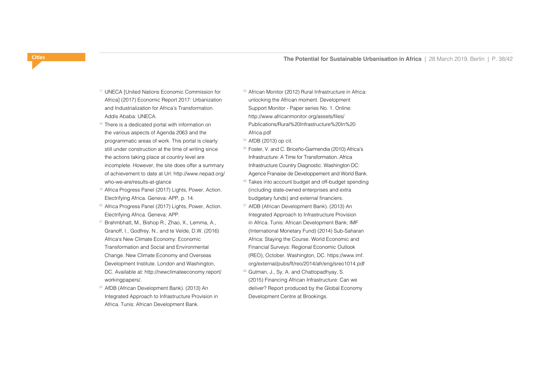- 17 UNECA [United Nations Economic Commission for Africa] (2017) Economic Report 2017: Urbanization and Industrialization for Africa's Transformation. Addis Ababa: UNECA.
- $18$  There is a dedicated portal with information on the various aspects of Agenda 2063 and the programmatic areas of work. This portal is clearly still under construction at the time of writing since the actions taking place at country level are incomplete. However, the site does offer a summary of achievement to date at Url: http://www.nepad.org/ who-we-are/results-at-glance
- 19 Africa Progress Panel (2017) Lights, Power, Action. Electrifying Africa. Geneva: APP, p. 14.
- 20 Africa Progress Panel (2017) Lights, Power, Action. Electrifying Africa. Geneva: APP.
- 21 Brahmbhatt, M., Bishop R., Zhao, X., Lemma, A., Granoff, I., Godfrey, N., and te Velde, D.W. (2016) Africa's New Climate Economy: Economic Transformation and Social and Environmental Change. New Climate Economy and Overseas Development Institute. London and Washington, DC. Available at: http://newclimateeconomy.report/ workingpapers/.
- 22 AfDB (African Development Bank). (2013) An Integrated Approach to Infrastructure Provision in Africa. Tunis: African Development Bank.

23 African Monitor (2012) Rural Infrastructure in Africa: unlocking the African moment. Development Support Monitor - Paper series No. 1. Online: http://www.africanmonitor.org/assets/files/ Publications/Rural%20Infrastructure%20In%20 Africa.pdf

24 AfDB (2013) op cit.

- 25 Foster, V. and C. Briceño-Garmendia (2010) Africa's Infrastructure: A Time for Transformation. Africa Infrastructure Country Diagnostic. Washington DC: Agence Franaise de Developpement and World Bank.
- <sup>26</sup> Takes into account budget and off-budget spending (including state-owned enterprises and extra budgetary funds) and external financiers.
- 27 AfDB (African Development Bank). (2013) An Integrated Approach to Infrastructure Provision in Africa. Tunis: African Development Bank; IMF (International Monetary Fund) (2014) Sub-Saharan Africa: Staying the Course. World Economic and Financial Surveys: Regional Economic Outlook (REO), October. Washington, DC. https://www.imf. org/external/pubs/ft/reo/2014/afr/eng/sreo1014.pdf
- 28 Gutman, J., Sy, A. and Chattopadhyay, S. (2015) Financing African Infrastructure: Can we deliver? Report produced by the Global Economy Development Centre at Brookings.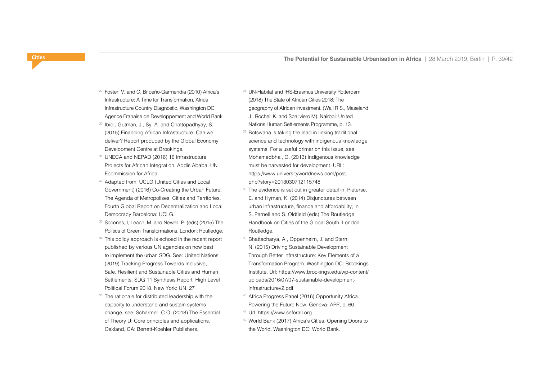- 29 Foster, V. and C. Briceño-Garmendia (2010) Africa's Infrastructure: A Time for Transformation. Africa Infrastructure Country Diagnostic. Washington DC: Agence Franaise de Developpement and World Bank.
- <sup>30</sup> Ibid.; Gutman, J., Sy, A. and Chattopadhyay, S. (2015) Financing African Infrastructure: Can we deliver? Report produced by the Global Economy Development Centre at Brookings.
- 31 UNECA and NEPAD (2016) 16 Infrastructure Projects for African Integration. Addis Ababa: UN Ecommission for Africa.
- 32 Adapted from: UCLG (United Cities and Local Government) (2016) Co-Creating the Urban Future: The Agenda of Metropolises, Cities and Territories. Fourth Global Report on Decentralization and Local Democracy Barcelona: UCLG.
- 33 Scoones, I, Leach, M. and Newell, P. (eds) (2015) The Politics of Green Transformations. London: Routledge.
- <sup>34</sup> This policy approach is echoed in the recent report published by various UN agencies on how best to implement the urban SDG. See: United Nations (2019) Tracking Progress Towards Inclusive, Safe, Resilient and Sustainable Cities and Human Settlements. SDG 11 Synthesis Report. High Level Political Forum 2018. New York: UN. 27
- <sup>35</sup> The rationale for distributed leadership with the capacity to understand and sustain systems change, see: Scharmer, C.O. (2018) The Essential of Theory U: Core principles and applications. Oakland, CA: Berrett-Koehler Publishers.
- 36 UN-Habitat and IHS-Erasmus University Rotterdam (2018) The State of African Cities 2018: The geography of African investment. (Wall R.S., Maseland J., Rochell K. and Spaliviero M). Nairobi: United Nations Human Settlements Programme, p. 13.
- <sup>37</sup> Botswana is taking the lead in linking traditional science and technology with indigenous knowledge systems. For a useful primer on this issue, see: Mohamedbhai, G. (2013) Indigenous knowledge must be harvested for development. URL: https://www.universityworldnews.com/post. php?story=2013030712115748
- 38 The evidence is set out in greater detail in: Pieterse, E. and Hyman, K. (2014) Disjunctures between urban infrastructure, finance and affordability, in S. Parnell and S. Oldfield (eds) The Routledge Handbook on Cities of the Global South. London: Routledge.
- 39 Bhattacharya, A., Oppenheim, J. and Stern, N. (2015) Driving Sustainable Development Through Better Infrastructure: Key Elements of a Transformation Program. Washington DC: Brookings Institute. Url: https://www.brookings.edu/wp-content/ uploads/2016/07/07-sustainable-developmentinfrastructurev2.pdf
- 40 Africa Progress Panel (2016) Opportunity Africa. Powering the Future Now. Geneva: APP, p. 60.
- 41 Url: https://www.seforall.org
- 42 World Bank (2017) Africa's Cities. Opening Doors to the World. Washington DC: World Bank.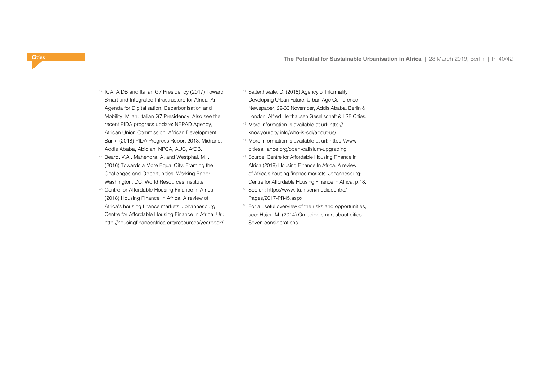- 43 ICA, AfDB and Italian G7 Presidency (2017) Toward Smart and Integrated Infrastructure for Africa. An Agenda for Digitalisation, Decarbonisation and Mobility. Milan: Italian G7 Presidency. Also see the recent PIDA progress update: NEPAD Agency, African Union Commission, African Development Bank, (2018) PIDA Progress Report 2018. Midrand, Addis Ababa, Abidjan: NPCA, AUC, AfDB.
- 44 Beard, V.A., Mahendra, A. and Westphal, M.I. (2016) Towards a More Equal City: Framing the Challenges and Opportunities. Working Paper. Washington, DC: World Resources Institute.
- 45 Centre for Affordable Housing Finance in Africa (2018) Housing Finance In Africa. A review of Africa's housing finance markets. Johannesburg: Centre for Affordable Housing Finance in Africa. Url: http://housingfinanceafrica.org/resources/yearbook/
- 46 Satterthwaite, D. (2018) Agency of Informality. In: Developing Urban Future. Urban Age Conference Newspaper, 29-30 November, Addis Ababa. Berlin & London: Alfred Herrhausen Gesellschaft & LSE Cities.
- 47 More information is available at url: http:// knowyourcity.info/who-is-sdi/about-us/
- 48 More information is available at url: https://www. citiesalliance.org/open-callslum-upgrading
- 49 Source: Centre for Affordable Housing Finance in Africa (2018) Housing Finance In Africa. A review of Africa's housing finance markets. Johannesburg: Centre for Affordable Housing Finance in Africa, p.18.
- 50 See url: https://www.itu.int/en/mediacentre/ Pages/2017-PR45.aspx
- <sup>51</sup> For a useful overview of the risks and opportunities, see: Hajer, M. (2014) On being smart about cities. Seven considerations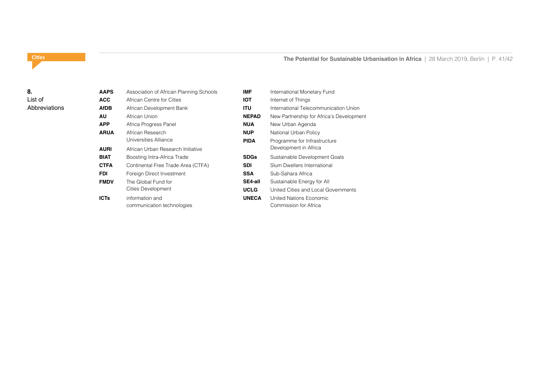# **The Potential for Sustainable Urbanisation in Africa** | 28 March 2019, Berlin | P. 41/42

# <span id="page-40-0"></span>**Cities**

# **8.**  List of Abbreviations

| <b>AAPS</b> | Association of African Planning Schools       | <b>IMF</b>   |
|-------------|-----------------------------------------------|--------------|
| <b>ACC</b>  | African Centre for Cities                     | IOT          |
| <b>AfDB</b> | African Development Bank                      | ITU          |
| AU          | African Union                                 | <b>NEPAD</b> |
| <b>APP</b>  | Africa Progress Panel                         | <b>NUA</b>   |
| <b>ARUA</b> | African Research                              | <b>NUP</b>   |
|             | Universities Alliance                         | <b>PIDA</b>  |
| <b>AURI</b> | African Urban Research Initiative             |              |
| BIAT        | Boosting Intra-Africa Trade                   | <b>SDGs</b>  |
| <b>CTFA</b> | Continental Free Trade Area (CTFA)            | SDI          |
| <b>FDI</b>  | Foreign Direct Investment                     | <b>SSA</b>   |
| <b>FMDV</b> | The Global Fund for                           | SE4-all      |
|             | Cities Development                            | <b>UCLG</b>  |
| <b>ICTs</b> | information and<br>communication technologies | <b>UNECA</b> |

| IMF          | International Monetary Fund              |
|--------------|------------------------------------------|
| IOT          | Internet of Things                       |
| ITU          | International Telecommunication Union    |
| <b>NEPAD</b> | New Partnership for Africa's Development |
| NUA          | New Urban Agenda                         |
| NUP          | National Urban Policy                    |
| PIDA         | Programme for Infrastructure             |
|              | Development in Africa                    |
| SDGs         | Sustainable Development Goals            |
| SDI          | Slum Dwellers International              |
| <b>SSA</b>   | Sub-Sahara Africa                        |
| SE4-all      | Sustainable Energy for All               |
| UCLG         | United Cities and Local Governments      |
| <b>UNECA</b> | United Nations Economic                  |
|              | Commission for Africa                    |